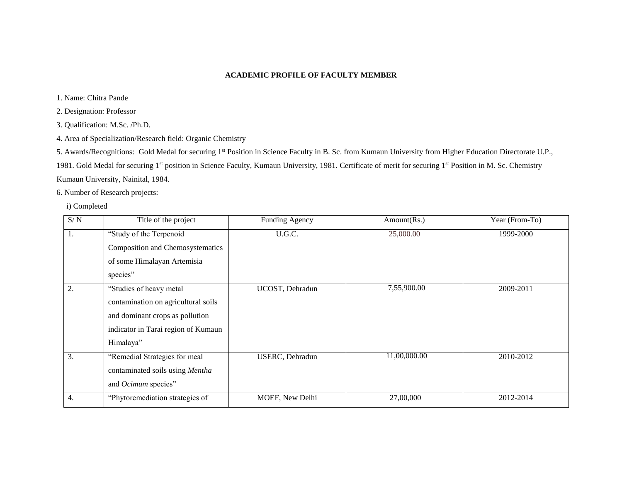### **ACADEMIC PROFILE OF FACULTY MEMBER**

1. Name: Chitra Pande

2. Designation: Professor

3. Qualification: M.Sc. /Ph.D.

4. Area of Specialization/Research field: Organic Chemistry

5. Awards/Recognitions: Gold Medal for securing 1st Position in Science Faculty in B. Sc. from Kumaun University from Higher Education Directorate U.P.,

1981. Gold Medal for securing 1<sup>st</sup> position in Science Faculty, Kumaun University, 1981. Certificate of merit for securing 1<sup>st</sup> Position in M. Sc. Chemistry

Kumaun University, Nainital, 1984.

6. Number of Research projects:

i) Completed

| S/N | Title of the project                | Funding Agency          | Amount(Rs.)  | Year (From-To) |
|-----|-------------------------------------|-------------------------|--------------|----------------|
| I.  | "Study of the Terpenoid             | U.G.C.                  | 25,000.00    | 1999-2000      |
|     | Composition and Chemosystematics    |                         |              |                |
|     | of some Himalayan Artemisia         |                         |              |                |
|     | species"                            |                         |              |                |
| 2.  | "Studies of heavy metal             | UCOST, Dehradun         | 7,55,900.00  | 2009-2011      |
|     | contamination on agricultural soils |                         |              |                |
|     | and dominant crops as pollution     |                         |              |                |
|     | indicator in Tarai region of Kumaun |                         |              |                |
|     | Himalaya"                           |                         |              |                |
| 3.  | "Remedial Strategies for meal       | <b>USERC</b> , Dehradun | 11,00,000.00 | 2010-2012      |
|     | contaminated soils using Mentha     |                         |              |                |
|     | and Ocimum species"                 |                         |              |                |
| 4.  | "Phytoremediation strategies of     | MOEF, New Delhi         | 27,00,000    | 2012-2014      |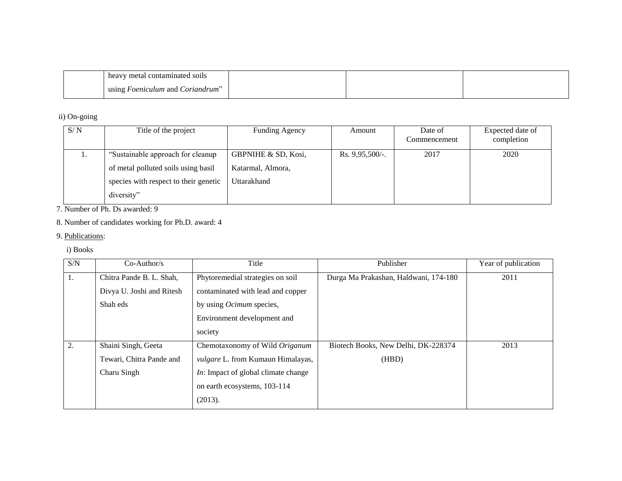| contaminated<br>metal<br>-SO11S<br>heav                    |  |  |
|------------------------------------------------------------|--|--|
| <i>oeniculum</i> and<br>. Coriandrum <sup>.</sup><br>using |  |  |

ii) On-going

| S/N | Title of the project                  | <b>Funding Agency</b> | Amount             | Date of<br>Commencement | Expected date of<br>completion |
|-----|---------------------------------------|-----------------------|--------------------|-------------------------|--------------------------------|
| 1.  | "Sustainable approach for cleanup"    | GBPNIHE & SD, Kosi,   | Rs. $9,95,500/$ -. | 2017                    | 2020                           |
|     | of metal polluted soils using basil   | Katarmal, Almora,     |                    |                         |                                |
|     | species with respect to their genetic | Uttarakhand           |                    |                         |                                |
|     | diversity"                            |                       |                    |                         |                                |

7. Number of Ph. Ds awarded: 9

# 8. Number of candidates working for Ph.D. award: 4

## 9. Publications:

## i) Books

| S/N | $Co-Author/s$             | Title                                      | Publisher                             | Year of publication |
|-----|---------------------------|--------------------------------------------|---------------------------------------|---------------------|
| 1.  | Chitra Pande B. L. Shah,  | Phytoremedial strategies on soil           | Durga Ma Prakashan, Haldwani, 174-180 | 2011                |
|     | Divya U. Joshi and Ritesh | contaminated with lead and copper          |                                       |                     |
|     | Shah eds                  | by using <i>Ocimum</i> species,            |                                       |                     |
|     |                           | Environment development and                |                                       |                     |
|     |                           | society                                    |                                       |                     |
| 2.  | Shaini Singh, Geeta       | Chemotaxonomy of Wild Origanum             | Biotech Books, New Delhi, DK-228374   | 2013                |
|     | Tewari, Chitra Pande and  | <i>vulgare L.</i> from Kumaun Himalayas,   | (HBD)                                 |                     |
|     | Charu Singh               | <i>In:</i> Impact of global climate change |                                       |                     |
|     |                           | on earth ecosystems, 103-114               |                                       |                     |
|     |                           | (2013).                                    |                                       |                     |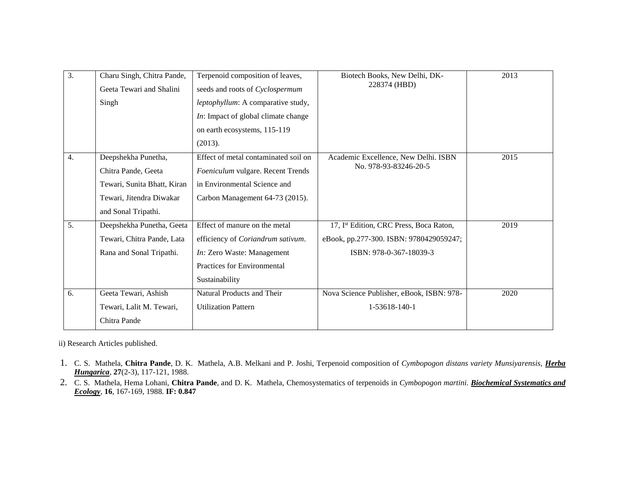| $\overline{3}$ . | Charu Singh, Chitra Pande,  | Terpenoid composition of leaves,          | Biotech Books, New Delhi, DK-             | 2013 |
|------------------|-----------------------------|-------------------------------------------|-------------------------------------------|------|
|                  | Geeta Tewari and Shalini    | seeds and roots of Cyclospermum           | 228374 (HBD)                              |      |
|                  | Singh                       | leptophyllum: A comparative study,        |                                           |      |
|                  |                             | In: Impact of global climate change       |                                           |      |
|                  |                             | on earth ecosystems, 115-119              |                                           |      |
|                  |                             | (2013).                                   |                                           |      |
| 4.               | Deepshekha Punetha,         | Effect of metal contaminated soil on      | Academic Excellence, New Delhi. ISBN      | 2015 |
|                  | Chitra Pande, Geeta         | Foeniculum vulgare. Recent Trends         | No. 978-93-83246-20-5                     |      |
|                  | Tewari, Sunita Bhatt, Kiran | in Environmental Science and              |                                           |      |
|                  | Tewari, Jitendra Diwakar    | Carbon Management 64-73 (2015).           |                                           |      |
|                  | and Sonal Tripathi.         |                                           |                                           |      |
| 5.               | Deepshekha Punetha, Geeta   | Effect of manure on the metal             | 17, Ist Edition, CRC Press, Boca Raton,   | 2019 |
|                  | Tewari, Chitra Pande, Lata  | efficiency of <i>Coriandrum sativum</i> . | eBook, pp.277-300. ISBN: 9780429059247;   |      |
|                  | Rana and Sonal Tripathi.    | In: Zero Waste: Management                | ISBN: 978-0-367-18039-3                   |      |
|                  |                             | Practices for Environmental               |                                           |      |
|                  |                             | Sustainability                            |                                           |      |
| 6.               | Geeta Tewari, Ashish        | Natural Products and Their                | Nova Science Publisher, eBook, ISBN: 978- | 2020 |
|                  | Tewari, Lalit M. Tewari,    | <b>Utilization Pattern</b>                | 1-53618-140-1                             |      |
|                  | Chitra Pande                |                                           |                                           |      |
|                  |                             |                                           |                                           |      |

ii) Research Articles published.

- 1. C. S. Mathela, **Chitra Pande**, D. K. Mathela, A.B. Melkani and P. Joshi, Terpenoid composition of *Cymbopogon distans variety Munsiyarensis, Herba Hungarica,* **27**(2-3), 117-121, 1988.
- 2. C. S. Mathela, Hema Lohani, **Chitra Pande**, and D. K. Mathela, Chemosystematics of terpenoids in *Cymbopogon martini. Biochemical Systematics and Ecology*, **16**, 167-169, 1988. **IF: 0.847**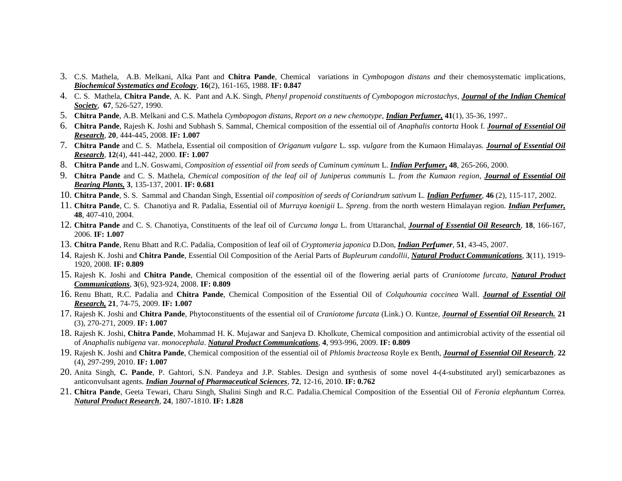- 3. C.S. Mathela, A.B. Melkani, Alka Pant and **Chitra Pande**, Chemical variations in *Cymbopogon distans and* their chemosystematic implications*, Biochemical Systematics and Ecology,* **16**(2), 161-165, 1988. **IF: 0.847**
- 4. C. S. Mathela, **Chitra Pande**, A. K. Pant and A.K. Singh, *Phenyl propenoid constituents of Cymbopogon microstachys, Journal of the Indian Chemical Society,* **67**, 526-527, 1990.
- 5. **Chitra Pande**, A.B. Melkani and C.S. Mathela *Cymbopogon distans, Report on a new chemotype, Indian Perfumer,* **41**(1), 35-36, 1997..
- 6. **Chitra Pande**, Rajesh K. Joshi and Subhash S. Sammal, Chemical composition of the essential oil of *Anaphalis contorta* Hook f. *Journal of Essential Oil Research*, **20**, 444-445, 2008. **IF: 1.007**
- 7. **Chitra Pande** and C. S. Mathela, Essential oil composition of *Origanum vulgare* L*.* ssp*. vulgare* from the Kumaon Himalayas*. Journal of Essential Oil Research*, **12**(4), 441-442, 2000. **IF: 1.007**
- 8. **Chitra Pande** and L.N. Goswami, *Composition of essential oil from seeds of Cuminum cyminum* L. *Indian Perfumer***, 48**, 265-266, 2000.
- 9. **Chitra Pande** and C. S. Mathela, *Chemical composition of the leaf oil of Juniperus communis* L. *from the Kumaon region*, *Journal of Essential Oil Bearing Plants,* **3**, 135-137, 2001. **IF: 0.681**
- 10. **Chitra Pande**, S. S. Sammal and Chandan Singh, Essential *oil composition of seeds of Coriandrum sativum* L*. Indian Perfumer,* **46** (2), 115-117, 2002.
- 11. **Chitra Pande**, C. S. Chanotiya and R. Padalia, Essential oil of *Murraya koenigii* L. *Spreng*. from the north western Himalayan region. *Indian Perfumer,* **48**, 407-410, 2004.
- 12. **Chitra Pande** and C. S. Chanotiya, Constituents of the leaf oil of *Curcuma longa* L. from Uttaranchal, *Journal of Essential Oil Research*, **18**, 166-167, 2006. **IF: 1.007**
- 13. **Chitra Pande**, Renu Bhatt and R.C. Padalia, Composition of leaf oil of *Cryptomeria japonica* D.Don, *Indian Perfumer*, **51**, 43-45, 2007.
- 14. Rajesh K. Joshi and **Chitra Pande**, Essential Oil Composition of the Aerial Parts of *Bupleurum candollii*, *Natural Product Communications*, **3**(11), 1919- 1920, 2008. **IF: 0.809**
- 15. Rajesh K. Joshi and **Chitra Pande**, Chemical composition of the essential oil of the flowering aerial parts of *Craniotome furcata, Natural Product Communications*, **3**(6), 923-924, 2008. **IF: 0.809**
- 16. Renu Bhatt, R.C. Padalia and **Chitra Pande**, Chemical Composition of the Essential Oil of *Colquhounia coccinea* Wall. *Journal of Essential Oil Research,* **21**, 74-75, 2009. **IF: 1.007**
- 17. Rajesh K. Joshi and **Chitra Pande**, Phytoconstituents of the essential oil of *Craniotome furcata* (Link.) O. Kuntze, *Journal of Essential Oil Research.* **21**  (3), 270-271, 2009. **IF: 1.007**
- 18. Rajesh K. Joshi, **Chitra Pande**, Mohammad H. K. Mujawar and Sanjeva D. Kholkute, Chemical composition and antimicrobial activity of the essential oil of *Anaphalis* n*ubigena* var. *monocephala*. *Natural Product Communications*, **4**, 993-996, 2009. **IF: 0.809**
- 19. Rajesh K. Joshi and **Chitra Pande**, Chemical composition of the essential oil of *Phlomis bracteosa* Royle ex Benth, *Journal of Essential Oil Research*, **22**  (4), 297-299, 2010. **IF: 1.007**
- 20. Anita Singh, **C. Pande**, P. Gahtori, S.N. Pandeya and J.P. Stables. Design and synthesis of some novel 4-(4-substituted aryl) semicarbazones as anticonvulsant agents. *Indian Journal of Pharmaceutical Sciences*, **72**, 12-16, 2010. **IF: 0.762**
- 21. **Chitra Pande**, Geeta Tewari, Charu Singh, Shalini Singh and R.C. Padalia.Chemical Composition of the Essential Oil of *Feronia elephantum* Correa. *Natural Product Research*, **24**, 1807-1810. **IF: 1.828**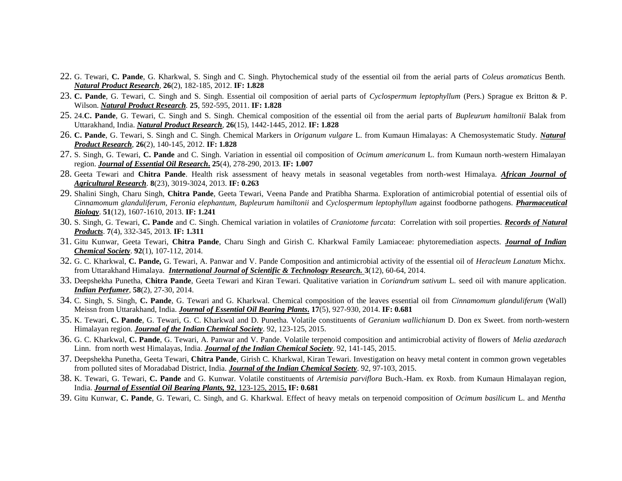- 22. G. Tewari, **C. Pande**, G. Kharkwal, S. Singh and C. Singh. Phytochemical study of the essential oil from the aerial parts of *Coleus aromaticus* Benth. *Natural Product Research*, **26**(2), 182-185, 2012. **IF: 1.828**
- 23. **C. Pande**, G. Tewari, C. Singh and S. Singh. Essential oil composition of aerial parts of *Cyclospermum leptophyllum* (Pers.) Sprague ex Britton & P. Wilson. *Natural Product Research.* **25**, 592-595, 2011. **IF: 1.828**
- 25. 24.**C. Pande**, G. Tewari, C. Singh and S. Singh. Chemical composition of the essential oil from the aerial parts of *Bupleurum hamiltonii* Balak from Uttarakhand, India. *Natural Product Research*, **26**(15), 1442-1445, 2012. **IF: 1.828**
- 26. **C. Pande**, G. Tewari, S. Singh and C. Singh. Chemical Markers in *Origanum vulgare* L. from Kumaun Himalayas: A Chemosystematic Study. *Natural Product Research*, **26**(2), 140-145, 2012. **IF: 1.828**
- 27. S. Singh, G. Tewari, **C. Pande** and C. Singh. Variation in essential oil composition of *Ocimum americanum* L. from Kumaun north-western Himalayan region. *Journal of Essential Oil Research***. 25**(4), 278-290, 2013. **IF: 1.007**
- 28. Geeta Tewari and **Chitra Pande**. Health risk assessment of heavy metals in seasonal vegetables from north-west Himalaya. *African Journal of Agricultural Research*. **8**(23), 3019-3024, 2013. **IF: 0.263**
- 29. Shalini Singh, Charu Singh, **Chitra Pande**, Geeta Tewari, Veena Pande and Pratibha Sharma. Exploration of antimicrobial potential of essential oils of *Cinnamomum glanduliferum, Feronia elephantum, Bupleurum hamiltonii* and *Cyclospermum leptophyllum* against foodborne pathogens. *Pharmaceutical Biology*. **51**(12), 1607-1610, 2013. **IF: 1.241**
- 30. S. Singh, G. Tewari, **C. Pande** and C. Singh. Chemical variation in volatiles of *Craniotome furcata*: Correlation with soil properties. *Records of Natural Products*. **7**(4), 332-345, 2013. **IF: 1.311**
- 31. Gitu Kunwar, Geeta Tewari, **Chitra Pande**, Charu Singh and Girish C. Kharkwal Family Lamiaceae: phytoremediation aspects. *Journal of Indian Chemical Society*. **92**(1), 107-112, 2014.
- 32. G. C. Kharkwal, **C. Pande,** G. Tewari, A. Panwar and V. Pande Composition and antimicrobial activity of the essential oil of *Heracleum Lanatum* Michx. from Uttarakhand Himalaya. *International Journal of Scientific & Technology Research.* **3**(12), 60-64, 2014.
- 33. Deepshekha Punetha, **Chitra Pande**, Geeta Tewari and Kiran Tewari. Qualitative variation in *Coriandrum sativum* L. seed oil with manure application. *Indian Perfumer*, **58**(2), 27-30, 2014.
- 34. C. Singh, S. Singh, **C. Pande**, G. Tewari and G. Kharkwal. Chemical composition of the leaves essential oil from *Cinnamomum glanduliferum* (Wall) Meissn from Uttarakhand, India. *Journal of Essential Oil Bearing Plants***. 17**(5), 927-930, 2014. **IF: 0.681**
- 35. K. Tewari, **C. Pande**, G. Tewari, G. C. Kharkwal and D. Punetha. Volatile constituents of *Geranium wallichianum* D. Don ex Sweet. from north-western Himalayan region. *Journal of the Indian Chemical Society*. 92, 123-125, 2015.
- 36. G. C. Kharkwal, **C. Pande**, G. Tewari, A. Panwar and V. Pande. Volatile terpenoid composition and antimicrobial activity of flowers of *Melia azedarach* Linn. from north west Himalayas, India. *Journal of the Indian Chemical Society*. 92, 141-145, 2015.
- 37. Deepshekha Punetha, Geeta Tewari, **Chitra Pande**, Girish C. Kharkwal, Kiran Tewari. Investigation on heavy metal content in common grown vegetables from polluted sites of Moradabad District, India. *Journal of the Indian Chemical Society*. 92, 97-103, 2015.
- 38. K. Tewari, G. Tewari, **C. Pande** and G. Kunwar. Volatile constituents of *Artemisia parviflora* Buch.-Ham. ex Roxb. from Kumaun Himalayan region, India. *Journal of Essential Oil Bearing Plants,* **92**, 123-125, 2015**. IF: 0.681**
- 39. Gitu Kunwar, **C. Pande**, G. Tewari, C. Singh, and G. Kharkwal. Effect of heavy metals on terpenoid composition of *Ocimum basilicum* L. and *Mentha*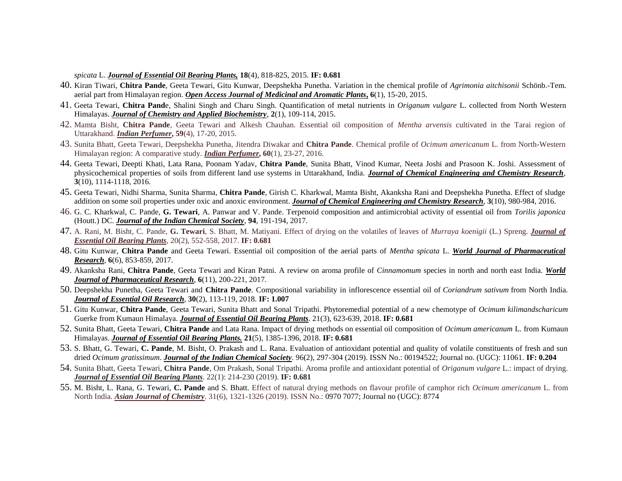*spicata* L. *Journal of Essential Oil Bearing Plants,* **18**(4), 818-825, 2015. **IF: 0.681**

- 40. Kiran Tiwari, **Chitra Pande**, Geeta Tewari, Gitu Kunwar, Deepshekha Punetha. Variation in the chemical profile of *Agrimonia aitchisonii* Schönb.-Tem. aerial part from Himalayan region. *Open Access Journal of Medicinal and Aromatic Plants***, 6**(1), 15-20, 2015.
- 41. Geeta Tewari, **Chitra Pand**e, Shalini Singh and Charu Singh. Quantification of metal nutrients in *Origanum vulgare* L. collected from North Western Himalayas. *Journal of Chemistry and Applied Biochemistry*, **2**(1), 109-114, 2015.
- 42. Mamta Bisht, **Chitra Pande**, Geeta Tewari and Alkesh Chauhan. Essential oil composition of *Mentha arvensis* cultivated in the Tarai region of Uttarakhand. *Indian Perfumer***, 59**(4), 17-20, 2015.
- 43. Sunita Bhatt, Geeta Tewari, Deepshekha Punetha, Jitendra Diwakar and **Chitra Pande**. Chemical profile of *Ocimum americanum* L. from North-Western Himalayan region: A comparative study. *Indian Perfumer***, 60**(1), 23-27, 2016.
- 44. Geeta Tewari, Deepti Khati, Lata Rana, Poonam Yadav, **Chitra Pande**, Sunita Bhatt, Vinod Kumar, Neeta Joshi and Prasoon K. Joshi. Assessment of physicochemical properties of soils from different land use systems in Uttarakhand, India. *Journal of Chemical Engineering and Chemistry Research*, **3**(10), 1114-1118, 2016.
- 45. Geeta Tewari, Nidhi Sharma, Sunita Sharma, **Chitra Pande**, Girish C. Kharkwal, Mamta Bisht, Akanksha Rani and Deepshekha Punetha. Effect of sludge addition on some soil properties under oxic and anoxic environment. *Journal of Chemical Engineering and Chemistry Research*, **3**(10), 980-984, 2016.
- 46. G. C. Kharkwal, C. Pande, **G. Tewari**, A. Panwar and V. Pande. Terpenoid composition and antimicrobial activity of essential oil from *Torilis japonica* (Houtt.) DC. *Journal of the Indian Chemical Society*, **94**, 191-194, 2017.
- 47. A. Rani, M. Bisht, C. Pande, **G. Tewari**, S. Bhatt, M. Matiyani. Effect of drying on the volatiles of leaves of *Murraya koenigii* (L.) Spreng. *Journal of Essential Oil Bearing Plants*, 20(2), 552-558, 2017. **IF: 0.681**
- 48. Gitu Kunwar, **Chitra Pande** and Geeta Tewari. Essential oil composition of the aerial parts of *Mentha spicata* L. *World Journal of Pharmaceutical Research*, **6**(6), 853-859, 2017.
- 49. Akanksha Rani, **Chitra Pande**, Geeta Tewari and Kiran Patni. A review on aroma profile of *Cinnamomum* species in north and north east India. *World Journal of Pharmaceutical Research*, **6**(11), 200-221, 2017.
- 50. Deepshekha Punetha, Geeta Tewari and **Chitra Pande**. Compositional variability in inflorescence essential oil of *Coriandrum sativum* from North India. *Journal of Essential Oil Research*, **30**(2), 113-119, 2018. **IF: 1.007**
- 51. Gitu Kunwar, **Chitra Pande**, Geeta Tewari, Sunita Bhatt and Sonal Tripathi. Phytoremedial potential of a new chemotype of *Ocimum kilimandscharicum* Guerke from Kumaun Himalaya. *Journal of Essential Oil Bearing Plants*. 21(3), 623-639, 2018. **IF: 0.681**
- 52. Sunita Bhatt, Geeta Tewari, **Chitra Pande** and Lata Rana. Impact of drying methods on essential oil composition of *Ocimum americanum* L. from Kumaun Himalayas. *Journal of Essential Oil Bearing Plants.* **21**(5), 1385-1396, 2018. **IF: 0.681**
- 53. S. Bhatt, G. Tewari, **C. Pande**, M. Bisht, O. Prakash and L. Rana. Evaluation of antioxidant potential and quality of volatile constituents of fresh and sun dried *Ocimum gratissimum*. *Journal of the Indian Chemical Society*. 96(2), 297-304 (2019). ISSN No.: 00194522; Journal no. (UGC): 11061. **IF: 0.204**
- 54. Sunita Bhatt, Geeta Tewari, **Chitra Pande**, Om Prakash, Sonal Tripathi. Aroma profile and antioxidant potential of *Origanum vulgare* L.: impact of drying. *Journal of Essential Oil Bearing Plants*. 22(1): 214-230 (2019). **IF: 0.681**
- 55. M. Bisht, L. Rana, G. Tewari, **C. Pande** and S. Bhatt. Effect of natural drying methods on flavour profile of camphor rich *Ocimum americanum* L. from North India. *Asian Journal of Chemistry*. 31(6), 1321-1326 (2019). ISSN No.: 0970 7077; Journal no (UGC): 8774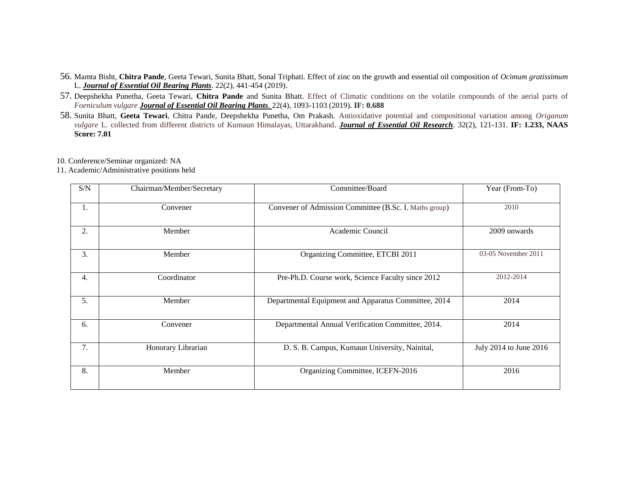- 56. Mamta Bisht, **Chitra Pande**, Geeta Tewari, Sunita Bhatt, Sonal Triphati. Effect of zinc on the growth and essential oil composition of *Ocimum gratissimum* L. *Journal of Essential Oil Bearing Plants*. 22(2), 441-454 (2019).
- 57. Deepshekha Punetha, Geeta Tewari, **Chitra Pande** and Sunita Bhatt. Effect of Climatic conditions on the volatile compounds of the aerial parts of *Foeniculum vulgare Journal of Essential Oil Bearing Plants.* 22(4), 1093-1103 (2019). **IF: 0.688**
- 58. Sunita Bhatt, **Geeta Tewari**, Chitra Pande, Deepshekha Punetha, Om Prakash. Antioxidative potential and compositional variation among *Origanum vulgare* L. collected from different districts of Kumaun Himalayas, Uttarakhand. *Journal of Essential Oil Research*. 32(2), 121-131. **IF: 1.233, NAAS Score: 7.01**

10. Conference/Seminar organized: NA

11. Academic/Administrative positions held

| S/N              | Chairman/Member/Secretary | Committee/Board                                        | Year (From-To)         |
|------------------|---------------------------|--------------------------------------------------------|------------------------|
| 1.               | Convener                  | Convener of Admission Committee (B.Sc. I, Maths group) | 2010                   |
| 2.               | Member                    | Academic Council                                       | 2009 onwards           |
| 3.               | Member                    | Organizing Committee, ETCBI 2011                       | 03-05 November 2011    |
| $\overline{4}$ . | Coordinator               | Pre-Ph.D. Course work, Science Faculty since 2012      | 2012-2014              |
| 5.               | Member                    | Departmental Equipment and Apparatus Committee, 2014   | 2014                   |
| 6.               | Convener                  | Departmental Annual Verification Committee, 2014.      | 2014                   |
| 7.               | Honorary Librarian        | D. S. B. Campus, Kumaun University, Nainital,          | July 2014 to June 2016 |
| 8.               | Member                    | Organizing Committee, ICEFN-2016                       | 2016                   |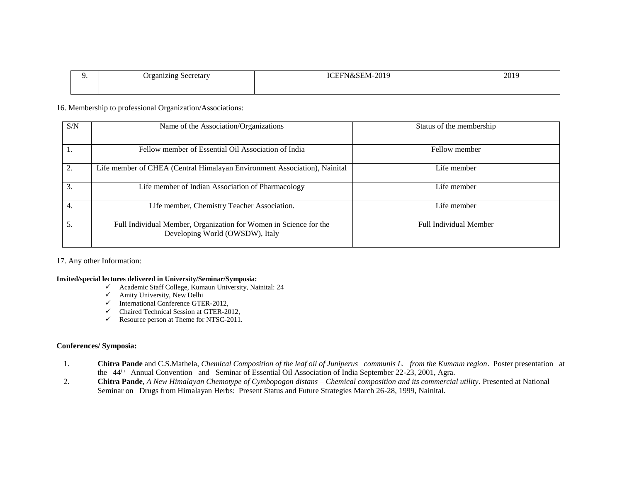| ecretary<br>)ro<br>_aniziny<br>—  — | 2010<br>,,,<br>IV/L. | 2019 |
|-------------------------------------|----------------------|------|
|                                     |                      |      |

### 16. Membership to professional Organization/Associations:

| S/N | Name of the Association/Organizations                                                                | Status of the membership |
|-----|------------------------------------------------------------------------------------------------------|--------------------------|
|     | Fellow member of Essential Oil Association of India                                                  | Fellow member            |
| 2.  | Life member of CHEA (Central Himalayan Environment Association), Nainital                            | Life member              |
| 3.  | Life member of Indian Association of Pharmacology                                                    | Life member              |
| 4.  | Life member, Chemistry Teacher Association.                                                          | Life member              |
| 5.  | Full Individual Member, Organization for Women in Science for the<br>Developing World (OWSDW), Italy | Full Individual Member   |

17. Any other Information:

### **Invited/special lectures delivered in University/Seminar/Symposia:**

- $\checkmark$  Academic Staff College, Kumaun University, Nainital: 24
- $\checkmark$  Amity University, New Delhi
- $\checkmark$  International Conference GTER-2012,
- $\checkmark$  Chaired Technical Session at GTER-2012,
- Resource person at Theme for NTSC-2011.

#### **Conferences/ Symposia:**

- 1. **Chitra Pande** and C.S.Mathela, *Chemical Composition of the leaf oil of Juniperus communis L. from the Kumaun region*. Poster presentation at the 44<sup>th</sup> Annual Convention and Seminar of Essential Oil Association of India September 22-23, 2001, Agra.
- 2. **Chitra Pande**, *A New Himalayan Chemotype of Cymbopogon distans – Chemical composition and its commercial utility*. Presented at National Seminar on Drugs from Himalayan Herbs: Present Status and Future Strategies March 26-28, 1999, Nainital.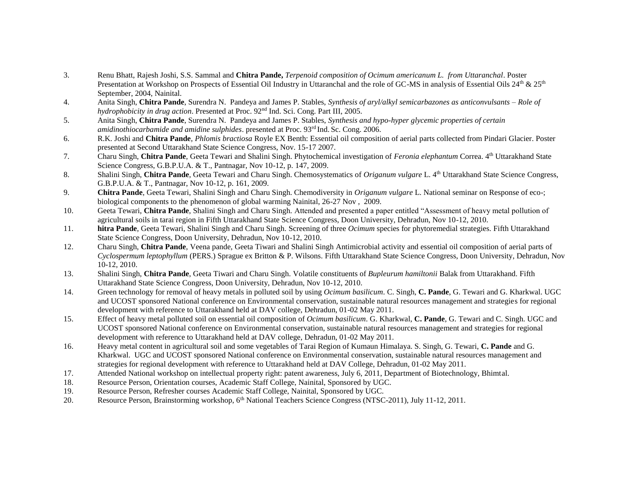- 3. Renu Bhatt, Rajesh Joshi, S.S. Sammal and **Chitra Pande,** *Terpenoid composition of Ocimum americanum L. from Uttaranchal*. Poster Presentation at Workshop on Prospects of Essential Oil Industry in Uttaranchal and the role of GC-MS in analysis of Essential Oils  $24<sup>th</sup>$  &  $25<sup>th</sup>$ September, 2004, Nainital.
- 4. Anita Singh, **Chitra Pande**, Surendra N. Pandeya and James P. Stables, *Synthesis of aryl/alkyl semicarbazones as anticonvulsants – Role of hydrophobicity in drug action*. Presented at Proc. 92nd Ind. Sci. Cong. Part III, 2005.
- 5. Anita Singh, **Chitra Pande**, Surendra N. Pandeya and James P. Stables, *Synthesis and hypo-hyper glycemic properties of certain amidinothiocarbamide and amidine sulphides*. presented at Proc. 93rd Ind. Sc. Cong. 2006.
- 6. R.K. Joshi and **Chitra Pande**, *Phlomis bractiosa* Royle EX Benth: Essential oil composition of aerial parts collected from Pindari Glacier. Poster presented at Second Uttarakhand State Science Congress, Nov. 15-17 2007.
- 7. Charu Singh, **Chitra Pande**, Geeta Tewari and Shalini Singh. Phytochemical investigation of *Feronia elephantum* Correa. 4th Uttarakhand State Science Congress, G.B.P.U.A. & T., Pantnagar, Nov 10-12, p. 147, 2009.
- 8. Shalini Singh, **Chitra Pande**, Geeta Tewari and Charu Singh. Chemosystematics of *Origanum vulgare* L. 4th Uttarakhand State Science Congress, G.B.P.U.A. & T., Pantnagar, Nov 10-12, p. 161, 2009.
- 9. **Chitra Pande**, Geeta Tewari, Shalini Singh and Charu Singh. Chemodiversity in *Origanum vulgare* L. National seminar on Response of eco-; biological components to the phenomenon of global warming Nainital, 26-27 Nov , 2009.
- 10. Geeta Tewari, **Chitra Pande**, Shalini Singh and Charu Singh. Attended and presented a paper entitled "Assessment of heavy metal pollution of agricultural soils in tarai region in Fifth Uttarakhand State Science Congress, Doon University, Dehradun, Nov 10-12, 2010.
- 11. **hitra Pande**, Geeta Tewari, Shalini Singh and Charu Singh. Screening of three *Ocimum* species for phytoremedial strategies. Fifth Uttarakhand State Science Congress, Doon University, Dehradun, Nov 10-12, 2010.
- 12. Charu Singh, **Chitra Pande**, Veena pande, Geeta Tiwari and Shalini Singh Antimicrobial activity and essential oil composition of aerial parts of *Cyclospermum leptophyllum* (PERS.) Sprague ex Britton & P. Wilsons. Fifth Uttarakhand State Science Congress, Doon University, Dehradun, Nov 10-12, 2010.
- 13. Shalini Singh, **Chitra Pande**, Geeta Tiwari and Charu Singh. Volatile constituents of *Bupleurum hamiltonii* Balak from Uttarakhand. Fifth Uttarakhand State Science Congress, Doon University, Dehradun, Nov 10-12, 2010.
- 14. Green technology for removal of heavy metals in polluted soil by using *Ocimum basilicum*. C. Singh, **C. Pande**, G. Tewari and G. Kharkwal. UGC and UCOST sponsored National conference on Environmental conservation, sustainable natural resources management and strategies for regional development with reference to Uttarakhand held at DAV college, Dehradun, 01-02 May 2011.
- 15. Effect of heavy metal polluted soil on essential oil composition of *Ocimum basilicum*. G. Kharkwal, **C. Pande**, G. Tewari and C. Singh. UGC and UCOST sponsored National conference on Environmental conservation, sustainable natural resources management and strategies for regional development with reference to Uttarakhand held at DAV college, Dehradun, 01-02 May 2011.
- 16. Heavy metal content in agricultural soil and some vegetables of Tarai Region of Kumaun Himalaya. S. Singh, G. Tewari, **C. Pande** and G. Kharkwal. UGC and UCOST sponsored National conference on Environmental conservation, sustainable natural resources management and strategies for regional development with reference to Uttarakhand held at DAV College, Dehradun, 01-02 May 2011.
- 17. Attended National workshop on intellectual property right: patent awareness, July 6, 2011, Department of Biotechnology, Bhimtal.
- 18. Resource Person, Orientation courses, Academic Staff College, Nainital, Sponsored by UGC.
- 19. Resource Person, Refresher courses Academic Staff College, Nainital, Sponsored by UGC.
- 20. Resource Person, Brainstorming workshop, 6<sup>th</sup> National Teachers Science Congress (NTSC-2011), July 11-12, 2011.